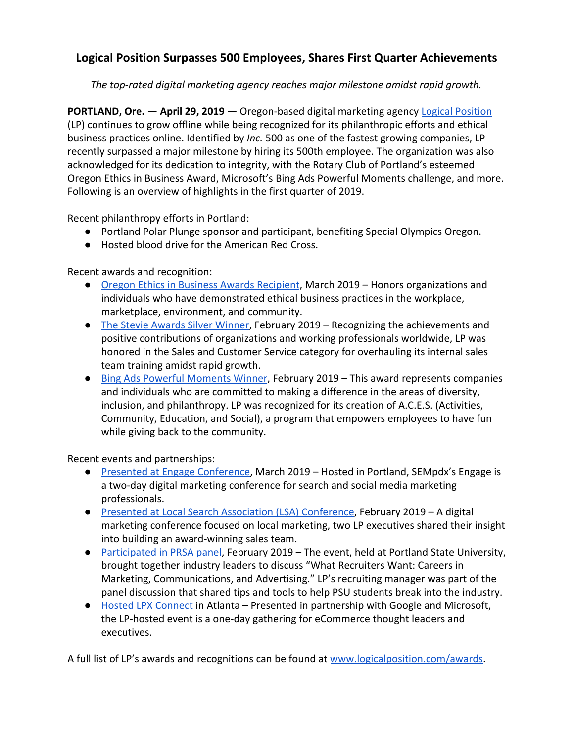## **Logical Position Surpasses 500 Employees, Shares First Quarter Achievements**

*The top-rated digital marketing agency reaches major milestone amidst rapid growth.*

**PORTLAND, Ore. - April 29, 2019 -** Oregon-based digital marketing agency [Logical Position](https://www.logicalposition.com/) (LP) continues to grow offline while being recognized for its philanthropic efforts and ethical business practices online. Identified by *Inc.* 500 as one of the fastest growing companies, LP recently surpassed a major milestone by hiring its 500th employee. The organization was also acknowledged for its dedication to integrity, with the Rotary Club of Portland's esteemed Oregon Ethics in Business Award, Microsoft's Bing Ads Powerful Moments challenge, and more. Following is an overview of highlights in the first quarter of 2019.

Recent philanthropy efforts in Portland:

- Portland Polar Plunge sponsor and participant, benefiting Special Olympics Oregon.
- Hosted blood drive for the American Red Cross.

Recent awards and recognition:

- [Oregon Ethics in Business Awards Recipient,](http://www.oregonethicsinbusiness.org/) March 2019 Honors organizations and individuals who have demonstrated ethical business practices in the workplace, marketplace, environment, and community.
- [The Stevie Awards Silver Winner,](http://stevieawards.com/sales/2019-stevie%C2%AE-award-winners) February 2019 Recognizing the achievements and positive contributions of organizations and working professionals worldwide, LP was honored in the Sales and Customer Service category for overhauling its internal sales team training amidst rapid growth.
- [Bing Ads Powerful Moments Winner](https://advertise.bingads.microsoft.com/en-us/blog/post/march-2019/bing-ads-powerful-moments-success-story-challenge-the-winners), February 2019 This award represents companies and individuals who are committed to making a difference in the areas of diversity, inclusion, and philanthropy. LP was recognized for its creation of A.C.E.S. (Activities, Community, Education, and Social), a program that empowers employees to have fun while giving back to the community.

Recent events and partnerships:

- [Presented at Engage Conference,](https://www.sempdx.org/engage/) March 2019 Hosted in Portland, SEMpdx's Engage is a two-day digital marketing conference for search and social media marketing professionals.
- [Presented at Local Search Association \(LSA\) Conference,](https://www.lsainsider.com/lsa19-logical-positions-take-on-building-a-successful-sales-organization/archives) February 2019 A digital marketing conference focused on local marketing, two LP executives shared their insight into building an award-winning sales team.
- [Participated in PRSA panel](https://www.pdx.edu/wll/events/what-recruiters-want-careers-marketing-communications-advertising?delta=0), February 2019 The event, held at Portland State University, brought together industry leaders to discuss "What Recruiters Want: Careers in Marketing, Communications, and Advertising." LP's recruiting manager was part of the panel discussion that shared tips and tools to help PSU students break into the industry.
- [Hosted LPX Connect](https://www.logicalposition.com/LPXConnectATL) in Atlanta Presented in partnership with Google and Microsoft, the LP-hosted event is a one-day gathering for eCommerce thought leaders and executives.

A full list of LP's awards and recognitions can be found at [www.logicalposition.com/awards](http://www.logicalposition.com/awards).